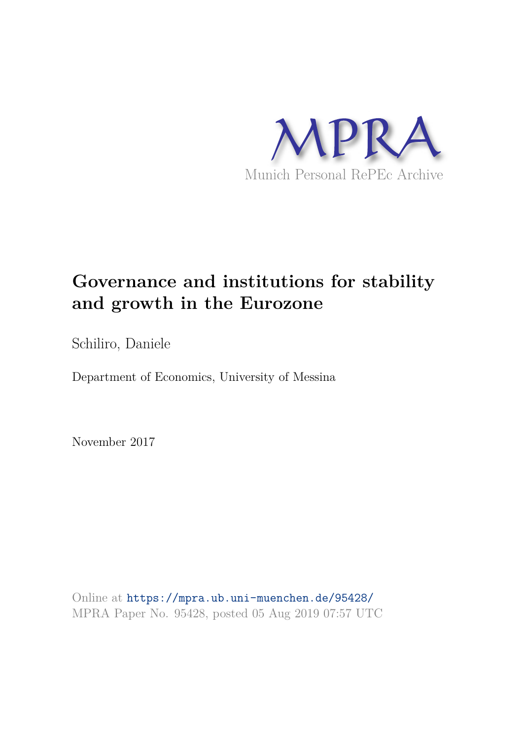

# **Governance and institutions for stability and growth in the Eurozone**

Schiliro, Daniele

Department of Economics, University of Messina

November 2017

Online at https://mpra.ub.uni-muenchen.de/95428/ MPRA Paper No. 95428, posted 05 Aug 2019 07:57 UTC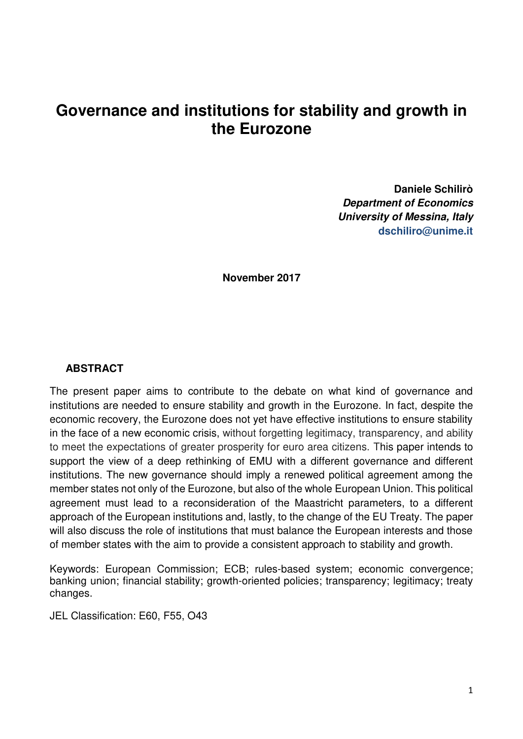# **Governance and institutions for stability and growth in the Eurozone**

**Daniele Schilirò**  *Department of Economics University of Messina, Italy*  **dschiliro@unime.it** 

**November 2017** 

#### **ABSTRACT**

The present paper aims to contribute to the debate on what kind of governance and institutions are needed to ensure stability and growth in the Eurozone. In fact, despite the economic recovery, the Eurozone does not yet have effective institutions to ensure stability in the face of a new economic crisis, without forgetting legitimacy, transparency, and ability to meet the expectations of greater prosperity for euro area citizens. This paper intends to support the view of a deep rethinking of EMU with a different governance and different institutions. The new governance should imply a renewed political agreement among the member states not only of the Eurozone, but also of the whole European Union. This political agreement must lead to a reconsideration of the Maastricht parameters, to a different approach of the European institutions and, lastly, to the change of the EU Treaty. The paper will also discuss the role of institutions that must balance the European interests and those of member states with the aim to provide a consistent approach to stability and growth.

Keywords: European Commission; ECB; rules-based system; economic convergence; banking union; financial stability; growth-oriented policies; transparency; legitimacy; treaty changes.

JEL Classification: E60, F55, O43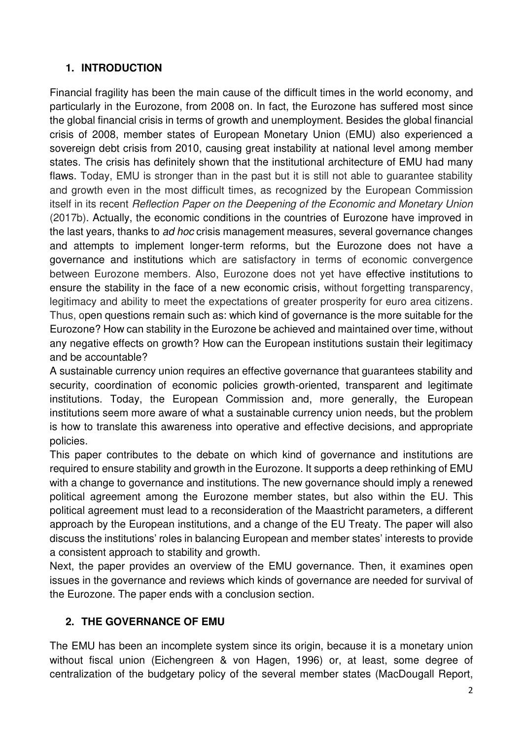# **1. INTRODUCTION**

Financial fragility has been the main cause of the difficult times in the world economy, and particularly in the Eurozone, from 2008 on. In fact, the Eurozone has suffered most since the global financial crisis in terms of growth and unemployment. Besides the global financial crisis of 2008, member states of European Monetary Union (EMU) also experienced a sovereign debt crisis from 2010, causing great instability at national level among member states. The crisis has definitely shown that the institutional architecture of EMU had many flaws. Today, EMU is stronger than in the past but it is still not able to guarantee stability and growth even in the most difficult times, as recognized by the European Commission itself in its recent *Reflection Paper on the Deepening of the Economic and Monetary Union* (2017b). Actually, the economic conditions in the countries of Eurozone have improved in the last years, thanks to *ad hoc* crisis management measures, several governance changes and attempts to implement longer-term reforms, but the Eurozone does not have a governance and institutions which are satisfactory in terms of economic convergence between Eurozone members. Also, Eurozone does not yet have effective institutions to ensure the stability in the face of a new economic crisis, without forgetting transparency, legitimacy and ability to meet the expectations of greater prosperity for euro area citizens. Thus, open questions remain such as: which kind of governance is the more suitable for the Eurozone? How can stability in the Eurozone be achieved and maintained over time, without any negative effects on growth? How can the European institutions sustain their legitimacy and be accountable?

A sustainable currency union requires an effective governance that guarantees stability and security, coordination of economic policies growth-oriented, transparent and legitimate institutions. Today, the European Commission and, more generally, the European institutions seem more aware of what a sustainable currency union needs, but the problem is how to translate this awareness into operative and effective decisions, and appropriate policies.

This paper contributes to the debate on which kind of governance and institutions are required to ensure stability and growth in the Eurozone. It supports a deep rethinking of EMU with a change to governance and institutions. The new governance should imply a renewed political agreement among the Eurozone member states, but also within the EU. This political agreement must lead to a reconsideration of the Maastricht parameters, a different approach by the European institutions, and a change of the EU Treaty. The paper will also discuss the institutions' roles in balancing European and member states' interests to provide a consistent approach to stability and growth.

Next, the paper provides an overview of the EMU governance. Then, it examines open issues in the governance and reviews which kinds of governance are needed for survival of the Eurozone. The paper ends with a conclusion section.

# **2. THE GOVERNANCE OF EMU**

The EMU has been an incomplete system since its origin, because it is a monetary union without fiscal union (Eichengreen & von Hagen, 1996) or, at least, some degree of centralization of the budgetary policy of the several member states (MacDougall Report,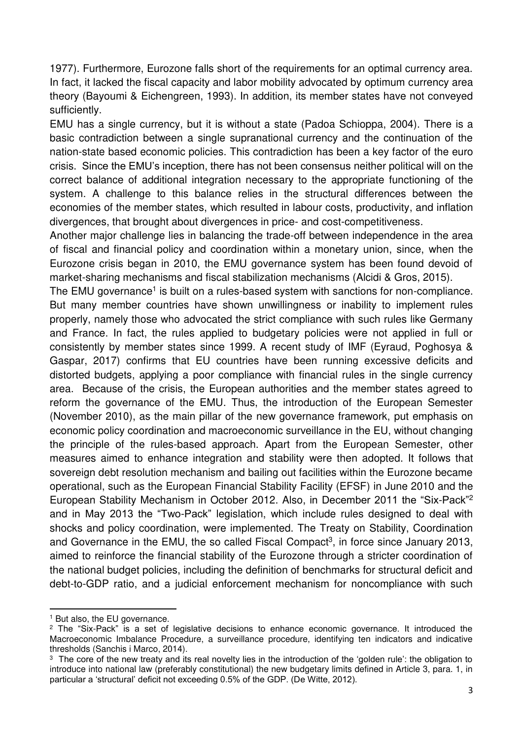1977). Furthermore, Eurozone falls short of the requirements for an optimal currency area. In fact, it lacked the fiscal capacity and labor mobility advocated by optimum currency area theory (Bayoumi & Eichengreen, 1993). In addition, its member states have not conveyed sufficiently.

EMU has a single currency, but it is without a state (Padoa Schioppa, 2004). There is a basic contradiction between a single supranational currency and the continuation of the nation-state based economic policies. This contradiction has been a key factor of the euro crisis. Since the EMU's inception, there has not been consensus neither political will on the correct balance of additional integration necessary to the appropriate functioning of the system. A challenge to this balance relies in the structural differences between the economies of the member states, which resulted in labour costs, productivity, and inflation divergences, that brought about divergences in price- and cost-competitiveness.

Another major challenge lies in balancing the trade-off between independence in the area of fiscal and financial policy and coordination within a monetary union, since, when the Eurozone crisis began in 2010, the EMU governance system has been found devoid of market-sharing mechanisms and fiscal stabilization mechanisms (Alcidi & Gros, 2015).

The EMU governance<sup>1</sup> is built on a rules-based system with sanctions for non-compliance. But many member countries have shown unwillingness or inability to implement rules properly, namely those who advocated the strict compliance with such rules like Germany and France. In fact, the rules applied to budgetary policies were not applied in full or consistently by member states since 1999. A recent study of IMF [\(Eyraud,](http://www.imf.org/en/Publications/Publications-By-Author?author=Luc%20%20Eyraud) Poghosya & Gaspar, 2017) confirms that EU countries have been running excessive deficits and distorted budgets, applying a poor compliance with financial rules in the single currency area. Because of the crisis, the European authorities and the member states agreed to reform the governance of the EMU. Thus, the introduction of the European Semester (November 2010), as the main pillar of the new governance framework, put emphasis on economic policy coordination and macroeconomic surveillance in the EU, without changing the principle of the rules-based approach. Apart from the European Semester, other measures aimed to enhance integration and stability were then adopted. It follows that sovereign debt resolution mechanism and bailing out facilities within the Eurozone became operational, such as the European Financial Stability Facility (EFSF) in June 2010 and the European Stability Mechanism in October 2012. Also, in December 2011 the "Six-Pack"<sup>2</sup> and in May 2013 the "Two-Pack" legislation, which include rules designed to deal with shocks and policy coordination, were implemented. The Treaty on Stability, Coordination and Governance in the EMU, the so called Fiscal Compact<sup>3</sup>, in force since January 2013, aimed to reinforce the financial stability of the Eurozone through a stricter coordination of the national budget policies, including the definition of benchmarks for structural deficit and debt-to-GDP ratio, and a judicial enforcement mechanism for noncompliance with such

<sup>1</sup> But also, the EU governance.

<sup>&</sup>lt;sup>2</sup> The "Six-Pack" is a set of legislative decisions to enhance economic governance. It introduced the Macroeconomic Imbalance Procedure, a surveillance procedure, identifying ten indicators and indicative thresholds (Sanchis i Marco, 2014).

 $^3$  The core of the new treaty and its real novelty lies in the introduction of the 'golden rule': the obligation to introduce into national law (preferably constitutional) the new budgetary limits defined in Article 3, para. 1, in particular a 'structural' deficit not exceeding 0.5% of the GDP. (De Witte, 2012).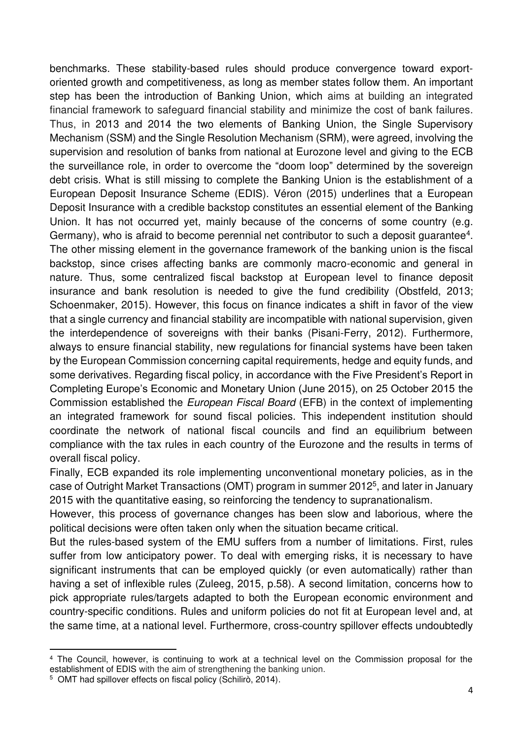benchmarks. These stability-based rules should produce convergence toward exportoriented growth and competitiveness, as long as member states follow them. An important step has been the introduction of Banking Union, which aims at building an integrated financial framework to safeguard financial stability and minimize the cost of bank failures. Thus, in 2013 and 2014 the two elements of Banking Union, the [Single Supervisory](https://www.bankingsupervision.europa.eu/home/html/index.en.html)  [Mechanism](https://www.bankingsupervision.europa.eu/home/html/index.en.html) (SSM) and the [Single Resolution Mechanism](http://srb.europa.eu/) (SRM), were agreed, involving the supervision and resolution of banks from national at Eurozone level and giving to the ECB the surveillance role, in order to overcome the "doom loop" determined by the sovereign debt crisis. What is still missing to complete the Banking Union is the establishment of a European Deposit Insurance Scheme (EDIS). Véron (2015) underlines that a European Deposit Insurance with a credible backstop constitutes an essential element of the Banking Union. It has not occurred yet, mainly because of the concerns of some country (e.g. Germany), who is afraid to become perennial net contributor to such a deposit guarantee<sup>4</sup>. The other missing element in the governance framework of the banking union is the fiscal backstop, since crises affecting banks are commonly macro-economic and general in nature. Thus, some centralized fiscal backstop at European level to finance deposit insurance and bank resolution is needed to give the fund credibility (Obstfeld, 2013; Schoenmaker, 2015). However, this focus on finance indicates a shift in favor of the view that a single currency and financial stability are incompatible with national supervision, given the interdependence of sovereigns with their banks (Pisani-Ferry, 2012). Furthermore, always to ensure financial stability, new regulations for financial systems have been taken by the European Commission concerning capital requirements, hedge and equity funds, and some derivatives. Regarding fiscal policy, in accordance with the Five President's Report in Completing Europe's Economic and Monetary Union (June 2015), on 25 October 2015 the Commission established the *European Fiscal Board* (EFB) in the context of implementing an integrated framework for sound fiscal policies. This independent institution should coordinate the network of national fiscal councils and find an equilibrium between compliance with the tax rules in each country of the Eurozone and the results in terms of overall fiscal policy.

Finally, ECB expanded its role implementing unconventional monetary policies, as in the case of Outright Market Transactions (OMT) program in summer 2012<sup>5</sup> , and later in January 2015 with the quantitative easing, so reinforcing the tendency to supranationalism.

However, this process of governance changes has been slow and laborious, where the political decisions were often taken only when the situation became critical.

But the rules-based system of the EMU suffers from a number of limitations. First, rules suffer from low anticipatory power. To deal with emerging risks, it is necessary to have significant instruments that can be employed quickly (or even automatically) rather than having a set of inflexible rules (Zuleeg, 2015, p.58). A second limitation, concerns how to pick appropriate rules/targets adapted to both the European economic environment and country-specific conditions. Rules and uniform policies do not fit at European level and, at the same time, at a national level. Furthermore, cross-country spillover effects undoubtedly

<sup>4</sup> The Council, however, is continuing to work at a technical level on the Commission proposal for the establishment of EDIS with the aim of strengthening the banking union.

<sup>5</sup> OMT had spillover effects on fiscal policy (Schilirò, 2014).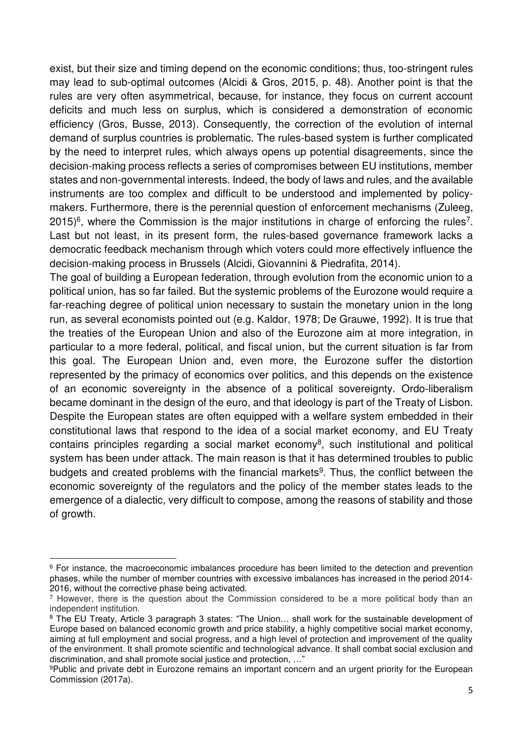exist, but their size and timing depend on the economic conditions; thus, too-stringent rules may lead to sub-optimal outcomes (Alcidi & Gros, 2015, p. 48). Another point is that the rules are very often asymmetrical, because, for instance, they focus on current account deficits and much less on surplus, which is considered a demonstration of economic efficiency (Gros, Busse, 2013). Consequently, the correction of the evolution of internal demand of surplus countries is problematic. The rules-based system is further complicated by the need to interpret rules, which always opens up potential disagreements, since the decision-making process reflects a series of compromises between EU institutions, member states and non-governmental interests. Indeed, the body of laws and rules, and the available instruments are too complex and difficult to be understood and implemented by policymakers. Furthermore, there is the perennial question of enforcement mechanisms (Zuleeg,  $2015)$ <sup>6</sup>, where the Commission is the major institutions in charge of enforcing the rules<sup>7</sup>. Last but not least, in its present form, the rules-based governance framework lacks a democratic feedback mechanism through which voters could more effectively influence the decision-making process in Brussels (Alcidi, Giovannini & Piedrafita, 2014).

The goal of building a European federation, through evolution from the economic union to a political union, has so far failed. But the systemic problems of the Eurozone would require a far-reaching degree of political union necessary to sustain the monetary union in the long run, as several economists pointed out (e.g. Kaldor, 1978; De Grauwe, 1992). It is true that the treaties of the European Union and also of the Eurozone aim at more integration, in particular to a more federal, political, and fiscal union, but the current situation is far from this goal. The European Union and, even more, the Eurozone suffer the distortion represented by the primacy of economics over politics, and this depends on the existence of an economic sovereignty in the absence of a political sovereignty. Ordo-liberalism became dominant in the design of the euro, and that ideology is part of the Treaty of Lisbon. Despite the European states are often equipped with a welfare system embedded in their constitutional laws that respond to the idea of a social market economy, and EU Treaty contains principles regarding a social market economy<sup>8</sup>, such institutional and political system has been under attack. The main reason is that it has determined troubles to public budgets and created problems with the financial markets<sup>9</sup>. Thus, the conflict between the economic sovereignty of the regulators and the policy of the member states leads to the emergence of a dialectic, very difficult to compose, among the reasons of stability and those of growth.

<sup>&</sup>lt;sup>6</sup> For instance, the macroeconomic imbalances procedure has been limited to the detection and prevention phases, while the number of member countries with excessive imbalances has increased in the period 2014- 2016, without the corrective phase being activated.

 $<sup>7</sup>$  However, there is the question about the Commission considered to be a more political body than an</sup> independent institution.

<sup>8</sup> The EU Treaty, Article 3 paragraph 3 states: "The Union... shall work for the sustainable development of Europe based on balanced economic growth and price stability, a highly competitive social market economy, aiming at full employment and social progress, and a high level of protection and improvement of the quality of the environment. It shall promote scientific and technological advance. It shall combat social exclusion and discrimination, and shall promote social justice and protection, …"

<sup>9</sup>Public and private debt in Eurozone remains an important concern and an urgent priority for the European Commission (2017a).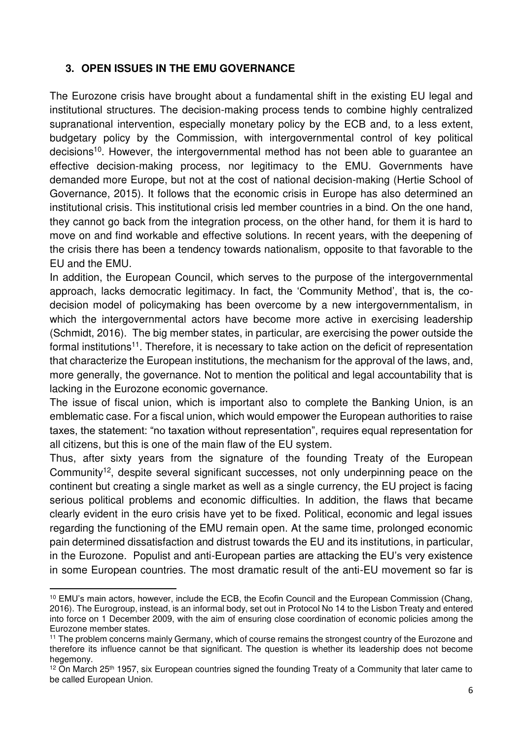#### **3. OPEN ISSUES IN THE EMU GOVERNANCE**

The Eurozone crisis have brought about a fundamental shift in the existing EU legal and institutional structures. The decision-making process tends to combine highly centralized supranational intervention, especially monetary policy by the ECB and, to a less extent, budgetary policy by the Commission, with intergovernmental control of key political decisions<sup>10</sup>. However, the intergovernmental method has not been able to guarantee an effective decision-making process, nor legitimacy to the EMU. Governments have demanded more Europe, but not at the cost of national decision-making (Hertie School of Governance, 2015). It follows that the economic crisis in Europe has also determined an institutional crisis. This institutional crisis led member countries in a bind. On the one hand, they cannot go back from the integration process, on the other hand, for them it is hard to move on and find workable and effective solutions. In recent years, with the deepening of the crisis there has been a tendency towards nationalism, opposite to that favorable to the EU and the EMU.

In addition, the European Council, which serves to the purpose of the intergovernmental approach, lacks democratic legitimacy. In fact, the 'Community Method', that is, the codecision model of policymaking has been overcome by a new intergovernmentalism, in which the intergovernmental actors have become more active in exercising leadership (Schmidt, 2016). The big member states, in particular, are exercising the power outside the formal institutions<sup>11</sup>. Therefore, it is necessary to take action on the deficit of representation that characterize the European institutions, the mechanism for the approval of the laws, and, more generally, the governance. Not to mention the political and legal accountability that is lacking in the Eurozone economic governance.

The issue of fiscal union, which is important also to complete the Banking Union, is an emblematic case. For a fiscal union, which would empower the European authorities to raise taxes, the statement: "no taxation without representation", requires equal representation for all citizens, but this is one of the main flaw of the EU system.

Thus, after sixty years from the signature of the founding Treaty of the European Community<sup>12</sup>, despite several significant successes, not only underpinning peace on the continent but creating a single market as well as a single currency, the EU project is facing serious political problems and economic difficulties. In addition, the flaws that became clearly evident in the euro crisis have yet to be fixed. Political, economic and legal issues regarding the functioning of the EMU remain open. At the same time, prolonged economic pain determined dissatisfaction and distrust towards the EU and its institutions, in particular, in the Eurozone. Populist and anti-European parties are attacking the EU's very existence in some European countries. The most dramatic result of the anti-EU movement so far is

<sup>10</sup> EMU's main actors, however, include the ECB, the Ecofin Council and the European Commission (Chang, 2016). The Eurogroup, instead, is an informal body, set out in Protocol No 14 to the Lisbon Treaty and entered into force on 1 December 2009, with the aim of ensuring close coordination of economic policies among the Eurozone member states.

<sup>11</sup> The problem concerns mainly Germany, which of course remains the strongest country of the Eurozone and therefore its influence cannot be that significant. The question is whether its leadership does not become hegemony.

<sup>&</sup>lt;sup>12</sup> On March 25<sup>th</sup> 1957, six European countries signed the founding Treaty of a Community that later came to be called European Union.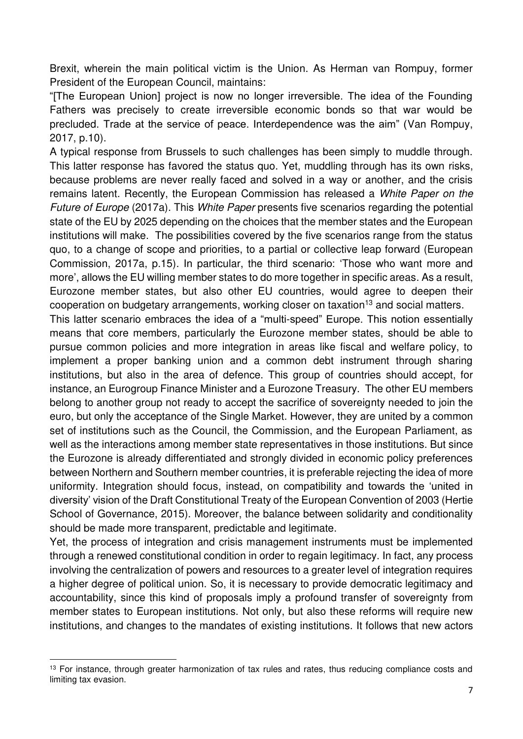Brexit, wherein the main political victim is the Union. As Herman van Rompuy, former President of the European Council, maintains:

"[The European Union] project is now no longer irreversible. The idea of the Founding Fathers was precisely to create irreversible economic bonds so that war would be precluded. Trade at the service of peace. Interdependence was the aim" (Van Rompuy, 2017, p.10).

A typical response from Brussels to such challenges has been simply to muddle through. This latter response has favored the status quo. Yet, muddling through has its own risks, because problems are never really faced and solved in a way or another, and the crisis remains latent. Recently, the European Commission has released a *White Paper on the Future of Europe* (2017a). This *White Paper* presents five scenarios regarding the potential state of the EU by 2025 depending on the choices that the member states and the European institutions will make. The possibilities covered by the five scenarios range from the status quo, to a change of scope and priorities, to a partial or collective leap forward (European Commission, 2017a, p.15). In particular, the third scenario: 'Those who want more and more', allows the EU willing member states to do more together in specific areas. As a result, Eurozone member states, but also other EU countries, would agree to deepen their cooperation on budgetary arrangements, working closer on taxation<sup>13</sup> and social matters.

This latter scenario embraces the idea of a "multi-speed" Europe. This notion essentially means that core members, particularly the Eurozone member states, should be able to pursue common policies and more integration in areas like fiscal and welfare policy, to implement a proper banking union and a common debt instrument through sharing institutions, but also in the area of defence. This group of countries should accept, for instance, an Eurogroup Finance Minister and a Eurozone Treasury. The other EU members belong to another group not ready to accept the sacrifice of sovereignty needed to join the euro, but only the acceptance of the Single Market. However, they are united by a common set of institutions such as the Council, the Commission, and the European Parliament, as well as the interactions among member state representatives in those institutions. But since the Eurozone is already differentiated and strongly divided in economic policy preferences between Northern and Southern member countries, it is preferable rejecting the idea of more uniformity. Integration should focus, instead, on compatibility and towards the 'united in diversity' vision of the Draft Constitutional Treaty of the European Convention of 2003 (Hertie School of Governance, 2015). Moreover, the balance between solidarity and conditionality should be made more transparent, predictable and legitimate.

Yet, the process of integration and crisis management instruments must be implemented through a renewed constitutional condition in order to regain legitimacy. In fact, any process involving the centralization of powers and resources to a greater level of integration requires a higher degree of political union. So, it is necessary to provide democratic legitimacy and accountability, since this kind of proposals imply a profound transfer of sovereignty from member states to European institutions. Not only, but also these reforms will require new institutions, and changes to the mandates of existing institutions. It follows that new actors

<sup>&</sup>lt;sup>13</sup> For instance, through greater harmonization of tax rules and rates, thus reducing compliance costs and limiting tax evasion.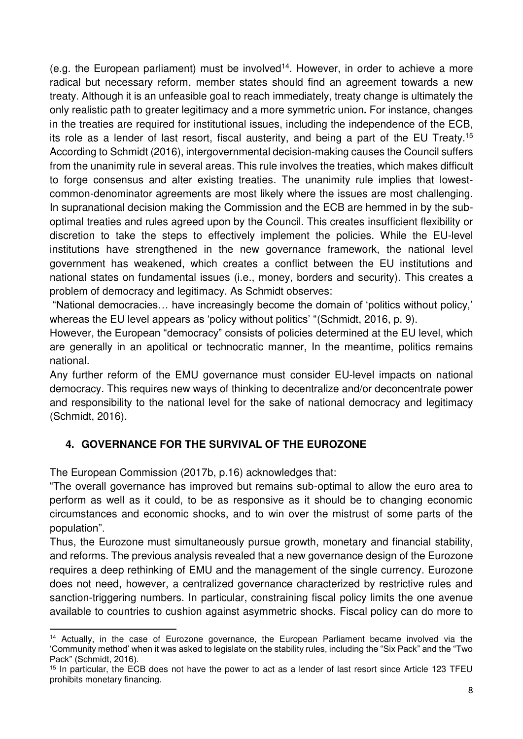(e.g. the European parliament) must be involved<sup>14</sup>. However, in order to achieve a more radical but necessary reform, member states should find an agreement towards a new treaty. Although it is an unfeasible goal to reach immediately, treaty change is ultimately the only realistic path to greater legitimacy and a more symmetric union**.** For instance, changes in the treaties are required for institutional issues, including the independence of the ECB, its role as a lender of last resort, fiscal austerity, and being a part of the EU Treaty.<sup>15</sup> According to Schmidt (2016), intergovernmental decision-making causes the Council suffers from the unanimity rule in several areas. This rule involves the treaties, which makes difficult to forge consensus and alter existing treaties. The unanimity rule implies that lowestcommon-denominator agreements are most likely where the issues are most challenging. In supranational decision making the Commission and the ECB are hemmed in by the suboptimal treaties and rules agreed upon by the Council. This creates insufficient flexibility or discretion to take the steps to effectively implement the policies. While the EU-level institutions have strengthened in the new governance framework, the national level government has weakened, which creates a conflict between the EU institutions and national states on fundamental issues (i.e., money, borders and security). This creates a problem of democracy and legitimacy. As Schmidt observes:

"National democracies… have increasingly become the domain of 'politics without policy,' whereas the EU level appears as 'policy without politics' "(Schmidt, 2016, p. 9).

However, the European "democracy" consists of policies determined at the EU level, which are generally in an apolitical or technocratic manner, In the meantime, politics remains national.

Any further reform of the EMU governance must consider EU-level impacts on national democracy. This requires new ways of thinking to decentralize and/or deconcentrate power and responsibility to the national level for the sake of national democracy and legitimacy (Schmidt, 2016).

# **4. GOVERNANCE FOR THE SURVIVAL OF THE EUROZONE**

The European Commission (2017b, p.16) acknowledges that:

 $\overline{a}$ 

"The overall governance has improved but remains sub-optimal to allow the euro area to perform as well as it could, to be as responsive as it should be to changing economic circumstances and economic shocks, and to win over the mistrust of some parts of the population".

Thus, the Eurozone must simultaneously pursue growth, monetary and financial stability, and reforms. The previous analysis revealed that a new governance design of the Eurozone requires a deep rethinking of EMU and the management of the single currency. Eurozone does not need, however, a centralized governance characterized by restrictive rules and sanction-triggering numbers. In particular, constraining fiscal policy limits the one avenue available to countries to cushion against asymmetric shocks. Fiscal policy can do more to

<sup>&</sup>lt;sup>14</sup> Actually, in the case of Eurozone governance, the European Parliament became involved via the 'Community method' when it was asked to legislate on the stability rules, including the "Six Pack" and the "Two Pack" (Schmidt, 2016).

<sup>&</sup>lt;sup>15</sup> In particular, the ECB does not have the power to act as a lender of last resort since Article 123 TFEU prohibits monetary financing.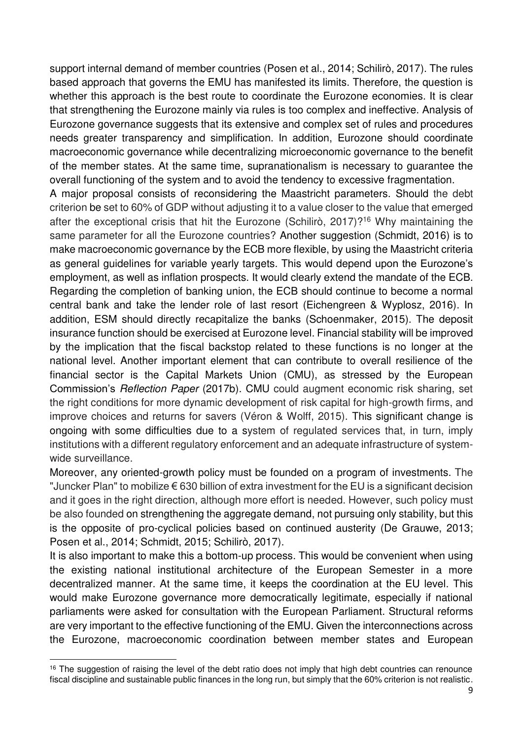support internal demand of member countries (Posen et al., 2014; Schilirò, 2017). The rules based approach that governs the EMU has manifested its limits. Therefore, the question is whether this approach is the best route to coordinate the Eurozone economies. It is clear that strengthening the Eurozone mainly via rules is too complex and ineffective. Analysis of Eurozone governance suggests that its extensive and complex set of rules and procedures needs greater transparency and simplification. In addition, Eurozone should coordinate macroeconomic governance while decentralizing microeconomic governance to the benefit of the member states. At the same time, supranationalism is necessary to guarantee the overall functioning of the system and to avoid the tendency to excessive fragmentation.

A major proposal consists of reconsidering the Maastricht parameters. Should the debt criterion be set to 60% of GDP without adjusting it to a value closer to the value that emerged after the exceptional crisis that hit the Eurozone (Schilirò, 2017)?<sup>16</sup> Why maintaining the same parameter for all the Eurozone countries? Another suggestion (Schmidt, 2016) is to make macroeconomic governance by the ECB more flexible, by using the Maastricht criteria as general guidelines for variable yearly targets. This would depend upon the Eurozone's employment, as well as inflation prospects. It would clearly extend the mandate of the ECB. Regarding the completion of banking union, the ECB should continue to become a normal central bank and take the lender role of last resort (Eichengreen & Wyplosz, 2016). In addition, ESM should directly recapitalize the banks (Schoenmaker, 2015). The deposit insurance function should be exercised at Eurozone level. Financial stability will be improved by the implication that the fiscal backstop related to these functions is no longer at the national level. Another important element that can contribute to overall resilience of the financial sector is the Capital Markets Union (CMU), as stressed by the European Commission's *Reflection Paper* (2017b). CMU could augment economic risk sharing, set the right conditions for more dynamic development of risk capital for high-growth firms, and improve choices and returns for savers (Véron & Wolff, 2015). This significant change is ongoing with some difficulties due to a system of regulated services that, in turn, imply institutions with a different regulatory enforcement and an adequate infrastructure of systemwide surveillance.

Moreover, any oriented-growth policy must be founded on a program of investments. The "Juncker Plan" to mobilize  $\epsilon$  630 billion of extra investment for the EU is a significant decision and it goes in the right direction, although more effort is needed. However, such policy must be also founded on strengthening the aggregate demand, not pursuing only stability, but this is the opposite of pro-cyclical policies based on continued austerity (De Grauwe, 2013; Posen et al., 2014; Schmidt, 2015; Schilirò, 2017).

It is also important to make this a bottom-up process. This would be convenient when using the existing national institutional architecture of the European Semester in a more decentralized manner. At the same time, it keeps the coordination at the EU level. This would make Eurozone governance more democratically legitimate, especially if national parliaments were asked for consultation with the European Parliament. Structural reforms are very important to the effective functioning of the EMU. Given the interconnections across the Eurozone, macroeconomic coordination between member states and European

<sup>&</sup>lt;sup>16</sup> The suggestion of raising the level of the debt ratio does not imply that high debt countries can renounce fiscal discipline and sustainable public finances in the long run, but simply that the 60% criterion is not realistic.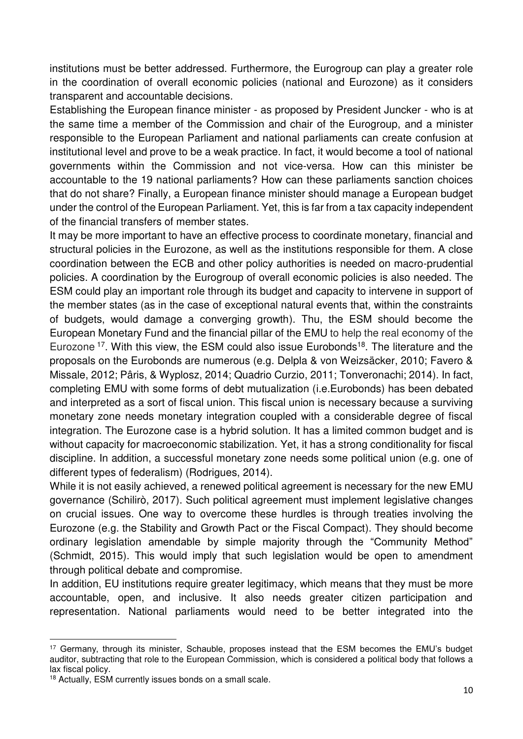institutions must be better addressed. Furthermore, the Eurogroup can play a greater role in the coordination of overall economic policies (national and Eurozone) as it considers transparent and accountable decisions.

Establishing the European finance minister - as proposed by President Juncker - who is at the same time a member of the Commission and chair of the Eurogroup, and a minister responsible to the European Parliament and national parliaments can create confusion at institutional level and prove to be a weak practice. In fact, it would become a tool of national governments within the Commission and not vice-versa. How can this minister be accountable to the 19 national parliaments? How can these parliaments sanction choices that do not share? Finally, a European finance minister should manage a European budget under the control of the European Parliament. Yet, this is far from a tax capacity independent of the financial transfers of member states.

It may be more important to have an effective process to coordinate monetary, financial and structural policies in the Eurozone, as well as the institutions responsible for them. A close coordination between the ECB and other policy authorities is needed on macro-prudential policies. A coordination by the Eurogroup of overall economic policies is also needed. The ESM could play an important role through its budget and capacity to intervene in support of the member states (as in the case of exceptional natural events that, within the constraints of budgets, would damage a converging growth). Thu, the ESM should become the European Monetary Fund and the financial pillar of the EMU to help the real economy of the Eurozone  $17$ . With this view, the ESM could also issue Eurobonds<sup>18</sup>. The literature and the proposals on the Eurobonds are numerous (e.g. Delpla & von Weizsäcker, 2010; Favero & Missale, 2012; Pâris, & Wyplosz, 2014; Quadrio Curzio, 2011; Tonveronachi; 2014). In fact, completing EMU with some forms of debt mutualization (i.e.Eurobonds) has been debated and interpreted as a sort of fiscal union. This fiscal union is necessary because a surviving monetary zone needs monetary integration coupled with a considerable degree of fiscal integration. The Eurozone case is a hybrid solution. It has a limited common budget and is without capacity for macroeconomic stabilization. Yet, it has a strong conditionality for fiscal discipline. In addition, a successful monetary zone needs some political union (e.g. one of different types of federalism) (Rodrigues, 2014).

While it is not easily achieved, a renewed political agreement is necessary for the new EMU governance (Schilirò, 2017). Such political agreement must implement legislative changes on crucial issues. One way to overcome these hurdles is through treaties involving the Eurozone (e.g. the Stability and Growth Pact or the Fiscal Compact). They should become ordinary legislation amendable by simple majority through the "Community Method" (Schmidt, 2015). This would imply that such legislation would be open to amendment through political debate and compromise.

In addition, EU institutions require greater legitimacy, which means that they must be more accountable, open, and inclusive. It also needs greater citizen participation and representation. National parliaments would need to be better integrated into the

<sup>&</sup>lt;sup>17</sup> Germany, through its minister, Schauble, proposes instead that the ESM becomes the EMU's budget auditor, subtracting that role to the European Commission, which is considered a political body that follows a lax fiscal policy.

<sup>18</sup> Actually, ESM currently issues bonds on a small scale.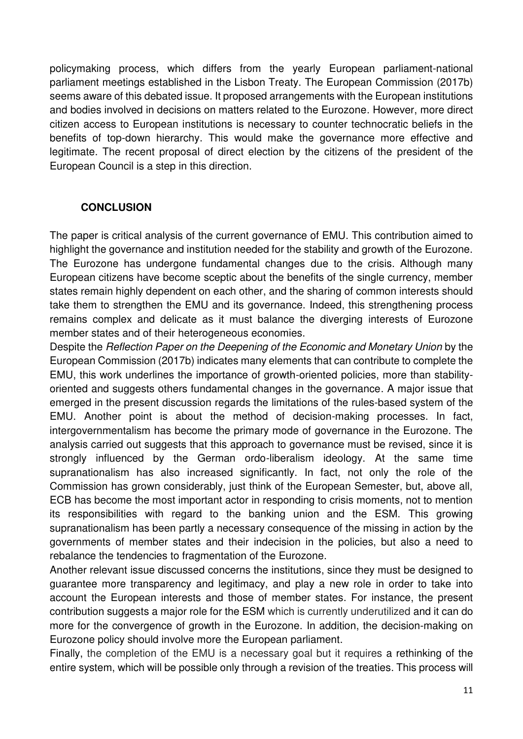policymaking process, which differs from the yearly European parliament-national parliament meetings established in the Lisbon Treaty. The European Commission (2017b) seems aware of this debated issue. It proposed arrangements with the European institutions and bodies involved in decisions on matters related to the Eurozone. However, more direct citizen access to European institutions is necessary to counter technocratic beliefs in the benefits of top-down hierarchy. This would make the governance more effective and legitimate. The recent proposal of direct election by the citizens of the president of the European Council is a step in this direction.

#### **CONCLUSION**

The paper is critical analysis of the current governance of EMU. This contribution aimed to highlight the governance and institution needed for the stability and growth of the Eurozone. The Eurozone has undergone fundamental changes due to the crisis. Although many European citizens have become sceptic about the benefits of the single currency, member states remain highly dependent on each other, and the sharing of common interests should take them to strengthen the EMU and its governance. Indeed, this strengthening process remains complex and delicate as it must balance the diverging interests of Eurozone member states and of their heterogeneous economies.

Despite the *Reflection Paper on the Deepening of the Economic and Monetary Union* by the European Commission (2017b) indicates many elements that can contribute to complete the EMU, this work underlines the importance of growth-oriented policies, more than stabilityoriented and suggests others fundamental changes in the governance. A major issue that emerged in the present discussion regards the limitations of the rules-based system of the EMU. Another point is about the method of decision-making processes. In fact, intergovernmentalism has become the primary mode of governance in the Eurozone. The analysis carried out suggests that this approach to governance must be revised, since it is strongly influenced by the German ordo-liberalism ideology. At the same time supranationalism has also increased significantly. In fact, not only the role of the Commission has grown considerably, just think of the European Semester, but, above all, ECB has become the most important actor in responding to crisis moments, not to mention its responsibilities with regard to the banking union and the ESM. This growing supranationalism has been partly a necessary consequence of the missing in action by the governments of member states and their indecision in the policies, but also a need to rebalance the tendencies to fragmentation of the Eurozone.

Another relevant issue discussed concerns the institutions, since they must be designed to guarantee more transparency and legitimacy, and play a new role in order to take into account the European interests and those of member states. For instance, the present contribution suggests a major role for the ESM which is currently underutilized and it can do more for the convergence of growth in the Eurozone. In addition, the decision-making on Eurozone policy should involve more the European parliament.

Finally, the completion of the EMU is a necessary goal but it requires a rethinking of the entire system, which will be possible only through a revision of the treaties. This process will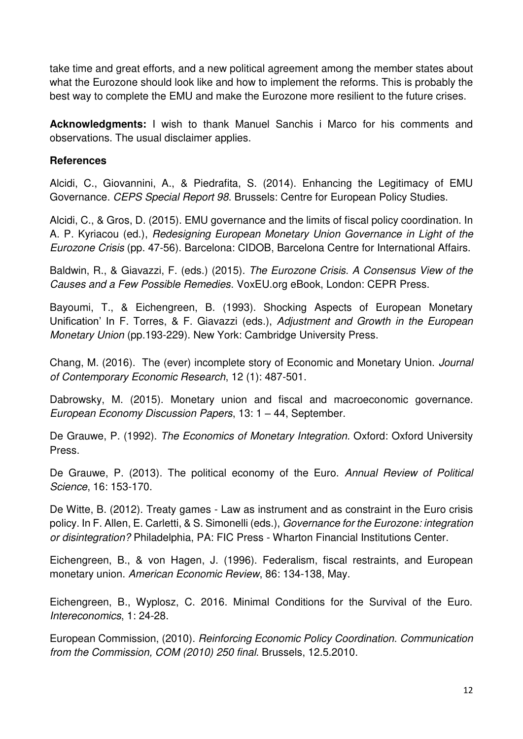take time and great efforts, and a new political agreement among the member states about what the Eurozone should look like and how to implement the reforms. This is probably the best way to complete the EMU and make the Eurozone more resilient to the future crises.

**Acknowledgments:** I wish to thank Manuel Sanchis i Marco for his comments and observations. The usual disclaimer applies.

#### **References**

Alcidi, C., Giovannini, A., & Piedrafita, S. (2014). Enhancing the Legitimacy of EMU Governance. *CEPS Special Report 98*. Brussels: Centre for European Policy Studies.

Alcidi, C., & Gros, D. (2015). EMU governance and the limits of fiscal policy coordination. In A. P. Kyriacou (ed.), *Redesigning European Monetary Union Governance in Light of the Eurozone Crisis* (pp. 47-56). Barcelona: CIDOB, Barcelona Centre for International Affairs.

Baldwin, R., & Giavazzi, F. (eds.) (2015). *The Eurozone Crisis. A Consensus View of the Causes and a Few Possible Remedies*. VoxEU.org eBook, London: CEPR Press.

Bayoumi, T., & Eichengreen, B. (1993). Shocking Aspects of European Monetary Unification' In F. Torres, & F. Giavazzi (eds.), *Adjustment and Growth in the European Monetary Union* (pp.193-229). New York: Cambridge University Press.

Chang, M. (2016). The (ever) incomplete story of Economic and Monetary Union. *Journal of Contemporary Economic Research*, 12 (1): 487-501.

Dabrowsky, M. (2015). Monetary union and fiscal and macroeconomic governance. *European Economy Discussion Papers*, 13: 1 – 44, September.

De Grauwe, P. (1992). *The Economics of Monetary Integration.* Oxford: Oxford University Press.

De Grauwe, P. (2013). The political economy of the Euro. *Annual Review of Political Science*, 16: 153-170.

De Witte, B. (2012). Treaty games - Law as instrument and as constraint in the Euro crisis policy. In F. Allen, E. Carletti, & S. Simonelli (eds.), *Governance for the Eurozone: integration or disintegration?* Philadelphia, PA: FIC Press - Wharton Financial Institutions Center.

Eichengreen, B., & von Hagen, J. (1996). Federalism, fiscal restraints, and European monetary union. *American Economic Review*, 86: 134-138, May.

Eichengreen, B., Wyplosz, C. 2016. Minimal Conditions for the Survival of the Euro. *Intereconomics*, 1: 24-28.

European Commission, (2010). *Reinforcing Economic Policy Coordination*. *Communication from the Commission, COM (2010) 250 final*. Brussels, 12.5.2010.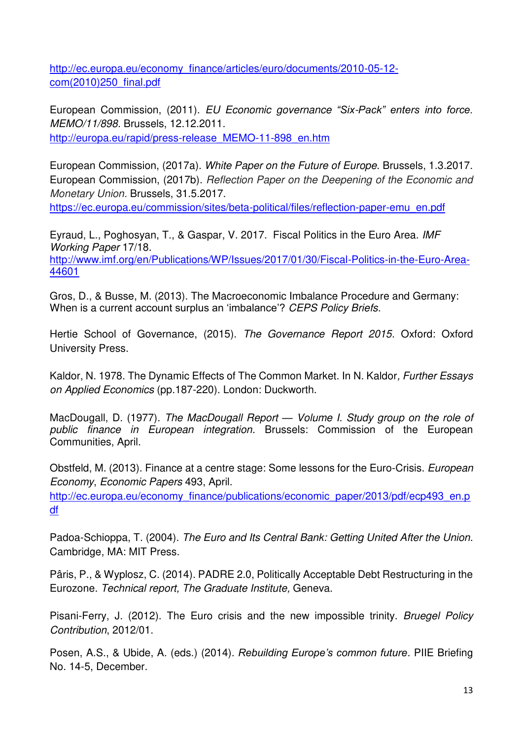[http://ec.europa.eu/economy\\_finance/articles/euro/documents/2010-05-12](http://ec.europa.eu/economy_finance/articles/euro/documents/2010-05-12-com(2010)250_final.pdf) [com\(2010\)250\\_final.pdf](http://ec.europa.eu/economy_finance/articles/euro/documents/2010-05-12-com(2010)250_final.pdf) 

European Commission, (2011). *EU Economic governance "Six-Pack" enters into force. MEMO/11/898*. Brussels, 12.12.2011. http://europa.eu/rapid/press-release\_MEMO-11-898\_en.htm

European Commission, (2017a). *White Paper on the Future of Europe*. Brussels, 1.3.2017. European Commission, (2017b). *Reflection Paper on the Deepening of the Economic and Monetary Union.* Brussels, 31.5.2017.

[https://ec.europa.eu/commission/sites/beta-political/files/reflection-paper-emu\\_en.pdf](https://ec.europa.eu/commission/sites/beta-political/files/reflection-paper-emu_en.pdf)

[Eyraud,](http://www.imf.org/en/Publications/Publications-By-Author?author=Luc%20%20Eyraud) L., Poghosyan, T., & Gaspar, V. 2017. Fiscal Politics in the Euro Area. *IMF Working Paper* 17/18. [http://www.imf.org/en/Publications/WP/Issues/2017/01/30/Fiscal-Politics-in-the-Euro-Area-](http://www.imf.org/en/Publications/WP/Issues/2017/01/30/Fiscal-Politics-in-the-Euro-Area-44601)[44601](http://www.imf.org/en/Publications/WP/Issues/2017/01/30/Fiscal-Politics-in-the-Euro-Area-44601)

Gros, D., & Busse, M. (2013). The Macroeconomic Imbalance Procedure and Germany: When is a current account surplus an 'imbalance'? *CEPS Policy Briefs*.

Hertie School of Governance, (2015). *The Governance Report 2015*. Oxford: Oxford University Press.

Kaldor, N. 1978. The Dynamic Effects of The Common Market. In N. Kaldor*, Further Essays on Applied Economics* (pp.187-220). London: Duckworth.

MacDougall, D. (1977). *The MacDougall Report — Volume I. Study group on the role of public finance in European integration*. Brussels: Commission of the European Communities, April.

Obstfeld, M. (2013). Finance at a centre stage: Some lessons for the Euro-Crisis. *European Economy*, *Economic Papers* 493, April.

[http://ec.europa.eu/economy\\_finance/publications/economic\\_paper/2013/pdf/ecp493\\_en.p](http://ec.europa.eu/economy_finance/publications/economic_paper/2013/pdf/ecp493_en.pdf) [df](http://ec.europa.eu/economy_finance/publications/economic_paper/2013/pdf/ecp493_en.pdf)

Padoa-Schioppa, T. (2004). *The Euro and Its Central Bank: Getting United After the Union*. Cambridge, MA: MIT Press.

Pâris, P., & Wyplosz, C. (2014). PADRE 2.0, Politically Acceptable Debt Restructuring in the Eurozone. *Technical report, The Graduate Institute,* Geneva.

Pisani-Ferry, J. (2012). The Euro crisis and the new impossible trinity. *Bruegel Policy Contribution*, 2012/01.

Posen, A.S., & Ubide, A. (eds.) (2014). *Rebuilding Europe's common future*. PIIE Briefing No. 14-5, December.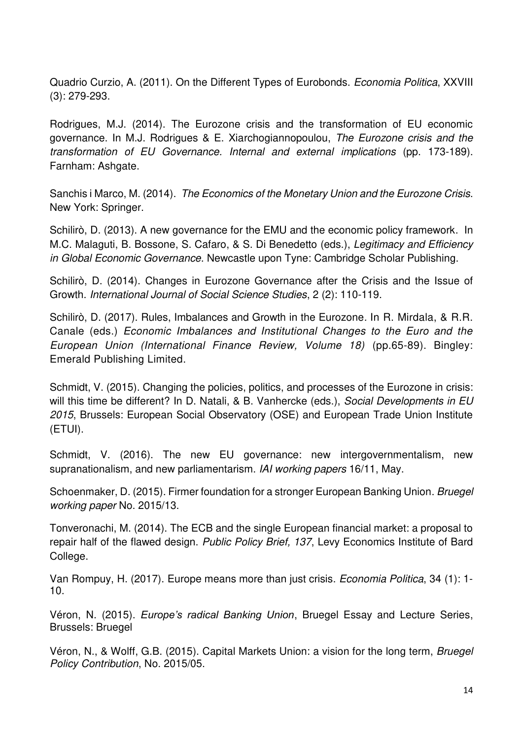Quadrio Curzio, A. (2011). On the Different Types of Eurobonds. *Economia Politica*, XXVIII (3): 279-293.

Rodrigues, M.J. (2014). The Eurozone crisis and the transformation of EU economic governance. In M.J. Rodrigues & E. Xiarchogiannopoulou, *The Eurozone crisis and the transformation of EU Governance. Internal and external implications* (pp. 173-189). [Farnham:](https://en.wikipedia.org/wiki/Farnham) Ashgate.

Sanchis i Marco, M. (2014). *The Economics of the Monetary Union and the Eurozone Crisis*. New York: Springer.

Schilirò, D. (2013). A new governance for the EMU and the economic policy framework. In M.C. Malaguti, B. Bossone, S. Cafaro, & S. Di Benedetto (eds.), *Legitimacy and Efficiency in Global Economic Governance*. Newcastle upon Tyne: Cambridge Scholar Publishing.

Schilirò, D. (2014). Changes in Eurozone Governance after the Crisis and the Issue of Growth. *International Journal of Social Science Studies*, 2 (2): 110-119.

Schilirò, D. (2017). Rules, Imbalances and Growth in the Eurozone*.* In R. Mirdala, & R.R. Canale (eds.) *Economic Imbalances and Institutional Changes to the Euro and the European Union (International Finance Review, Volume 18)* (pp.65-89). Bingley: Emerald Publishing Limited.

Schmidt, V. (2015). Changing the policies, politics, and processes of the Eurozone in crisis: will this time be different? In D. Natali, & B. Vanhercke (eds.), *Social Developments in EU 2015*, Brussels: European Social Observatory (OSE) and European Trade Union Institute (ETUI).

Schmidt, V. (2016). The new EU governance: new intergovernmentalism, new supranationalism, and new parliamentarism. *IAI working papers* 16/11, May.

Schoenmaker, D. (2015). Firmer foundation for a stronger European Banking Union. *Bruegel working paper* No. 2015/13.

Tonveronachi, M. (2014). The ECB and the single European financial market: a proposal to repair half of the flawed design. *Public Policy Brief, 137*, Levy Economics Institute of Bard College.

Van Rompuy, H. (2017). Europe means more than just crisis. *Economia Politica*, 34 (1): 1- 10.

Véron, N. (2015). *Europe's radical Banking Union*, Bruegel Essay and Lecture Series, Brussels: Bruegel

Véron, N., & Wolff, G.B. (2015). Capital Markets Union: a vision for the long term, *Bruegel Policy Contribution*, No. 2015/05.